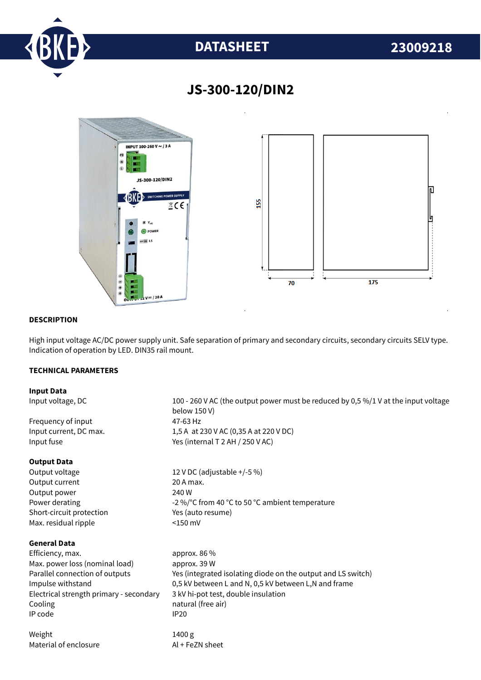

# **DATASHEET 23009218**



# **JS-300-120/DIN2**

### **DESCRIPTION**

High input voltage AC/DC power supply unit. Safe separation of primary and secondary circuits, secondary circuits SELV type. Indication of operation by LED. DIN35 rail mount.

## **TECHNICAL PARAMETERS**

#### **Input Data**

Input voltage, DC 100 - 260 V AC (the output power must be reduced by 0,5 %/1 V at the input voltage below 150 V) Frequency of input 47-63 Hz Input current, DC max. 1,5 A at 230 V AC (0,35 A at 220 V DC) Input fuse  $Y$ es (internal T 2 AH / 250 V AC) **Output Data** Output voltage 12 V DC (adjustable +/-5 %) Output current 20 A max. Output power 240 W Power derating  $-2\%$  °C from 40 °C to 50 °C ambient temperature Short-circuit protection Yes (auto resume) Max. residual ripple <150 mV **General Data** Efficiency. max. approx. 86 % Max. power loss (nominal load) approx. 39 W Parallel connection of outputs Yes (integrated isolating diode on the output and LS switch) Impulse withstand 0,5 kV between L and N, 0,5 kV between L,N and frame Electrical strength primary - secondary 3 kV hi-pot test, double insulation Cooling **natural** (free air) IP code IP20 Weight 1400 g Material of enclosure Al + FeZN sheet